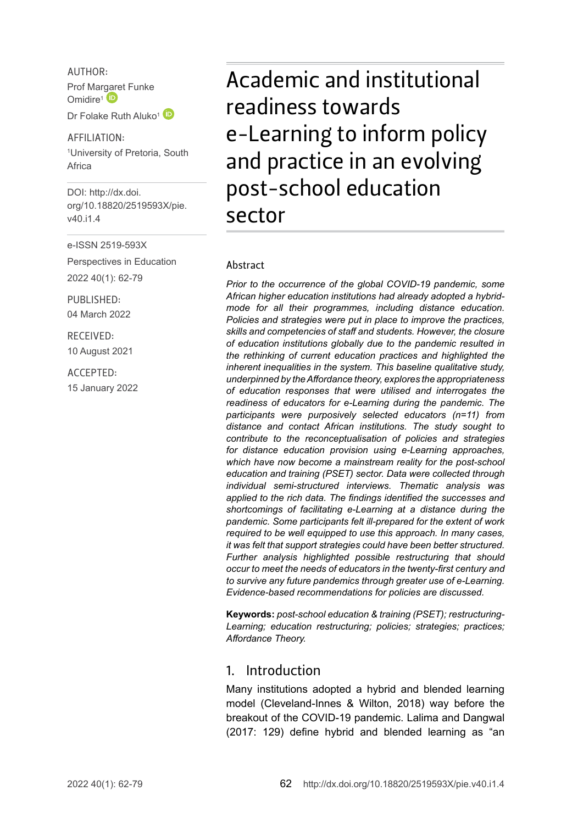AUTHOR: Prof Mar[gare](http://orcid.org/0000-0002-5784-7734)t Funke Omidire<sup>1</sup><sup>D</sup>

Dr Folake Ruth Aluko<sup>1</sup>

AFFILIATION:

1 University of Pretoria, South Africa

DOI: [http://dx.doi.](http://dx.doi.org/10.18820/2519593X/pie.v40.i1.4) [org/10.18820/2519593X/p](http://dx.doi.org/10.18820/2519593X/pie.v40.i1.4)ie. v40.i1.4

e-ISSN 2519-593X

Perspectives in Education 2022 40(1): 62-79

PUBLISHED: 04 March 2022

RECEIVED: 10 August 2021

ACCEPTED: 15 January 2022 Academic and institutional readiness towards e-Learning to inform policy and practice in an evolving post-school education sector

#### Abstract

*Prior to the occurrence of the global COVID-19 pandemic, some African higher education institutions had already adopted a hybridmode for all their programmes, including distance education. Policies and strategies were put in place to improve the practices, skills and competencies of staff and students. However, the closure of education institutions globally due to the pandemic resulted in the rethinking of current education practices and highlighted the inherent inequalities in the system. This baseline qualitative study, underpinned by the Affordance theory, explores the appropriateness of education responses that were utilised and interrogates the readiness of educators for e-Learning during the pandemic. The participants were purposively selected educators (n=11) from distance and contact African institutions. The study sought to contribute to the reconceptualisation of policies and strategies for distance education provision using e-Learning approaches, which have now become a mainstream reality for the post-school education and training (PSET) sector. Data were collected through individual semi-structured interviews. Thematic analysis was applied to the rich data. The findings identified the successes and shortcomings of facilitating e-Learning at a distance during the pandemic. Some participants felt ill-prepared for the extent of work required to be well equipped to use this approach. In many cases, it was felt that support strategies could have been better structured. Further analysis highlighted possible restructuring that should occur to meet the needs of educators in the twenty-first century and to survive any future pandemics through greater use of e-Learning. Evidence-based recommendations for policies are discussed.* 

**Keywords:** *post-school education & training (PSET); restructuring-Learning; education restructuring; policies; strategies; practices; Affordance Theory.*

#### 1. Introduction

Many institutions adopted a hybrid and blended learning model (Cleveland-Innes & Wilton, 2018) way before the breakout of the COVID-19 pandemic. Lalima and Dangwal (2017: 129) define hybrid and blended learning as "an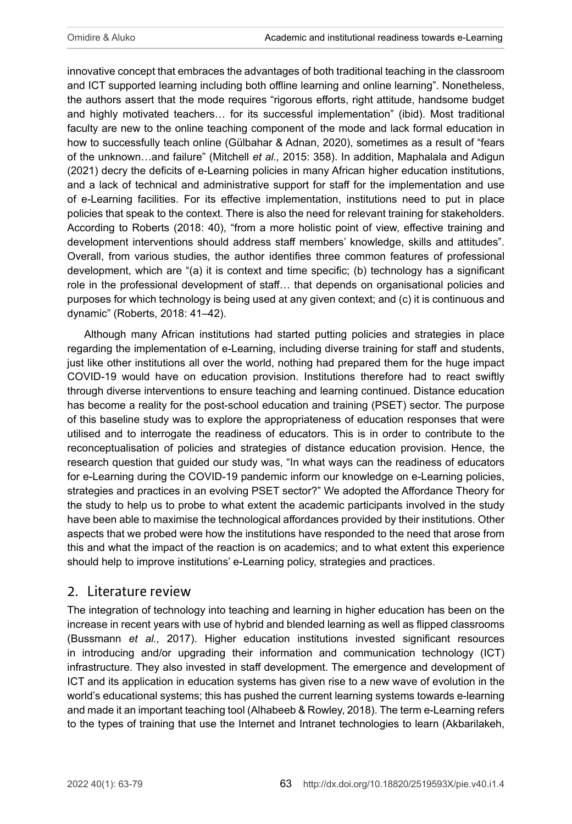innovative concept that embraces the advantages of both traditional teaching in the classroom and ICT supported learning including both offline learning and online learning". Nonetheless, the authors assert that the mode requires "rigorous efforts, right attitude, handsome budget and highly motivated teachers… for its successful implementation" (ibid). Most traditional faculty are new to the online teaching component of the mode and lack formal education in how to successfully teach online (Gülbahar & Adnan, 2020), sometimes as a result of "fears of the unknown…and failure" (Mitchell *et al.,* 2015: 358). In addition, Maphalala and Adigun (2021) decry the deficits of e-Learning policies in many African higher education institutions, and a lack of technical and administrative support for staff for the implementation and use of e-Learning facilities. For its effective implementation, institutions need to put in place policies that speak to the context. There is also the need for relevant training for stakeholders. According to Roberts (2018: 40), "from a more holistic point of view, effective training and development interventions should address staff members' knowledge, skills and attitudes". Overall, from various studies, the author identifies three common features of professional development, which are "(a) it is context and time specific; (b) technology has a significant role in the professional development of staff… that depends on organisational policies and purposes for which technology is being used at any given context; and (c) it is continuous and dynamic" (Roberts, 2018: 41–42).

Although many African institutions had started putting policies and strategies in place regarding the implementation of e-Learning, including diverse training for staff and students, just like other institutions all over the world, nothing had prepared them for the huge impact COVID-19 would have on education provision. Institutions therefore had to react swiftly through diverse interventions to ensure teaching and learning continued. Distance education has become a reality for the post-school education and training (PSET) sector. The purpose of this baseline study was to explore the appropriateness of education responses that were utilised and to interrogate the readiness of educators. This is in order to contribute to the reconceptualisation of policies and strategies of distance education provision. Hence, the research question that guided our study was, "In what ways can the readiness of educators for e-Learning during the COVID-19 pandemic inform our knowledge on e-Learning policies, strategies and practices in an evolving PSET sector?" We adopted the Affordance Theory for the study to help us to probe to what extent the academic participants involved in the study have been able to maximise the technological affordances provided by their institutions. Other aspects that we probed were how the institutions have responded to the need that arose from this and what the impact of the reaction is on academics; and to what extent this experience should help to improve institutions' e-Learning policy, strategies and practices.

## 2. Literature review

The integration of technology into teaching and learning in higher education has been on the increase in recent years with use of hybrid and blended learning as well as flipped classrooms (Bussmann *et al.,* 2017). Higher education institutions invested significant resources in introducing and/or upgrading their information and communication technology (ICT) infrastructure. They also invested in staff development. The emergence and development of ICT and its application in education systems has given rise to a new wave of evolution in the world's educational systems; this has pushed the current learning systems towards e-learning and made it an important teaching tool (Alhabeeb & Rowley, 2018). The term e-Learning refers to the types of training that use the Internet and Intranet technologies to learn (Akbarilakeh,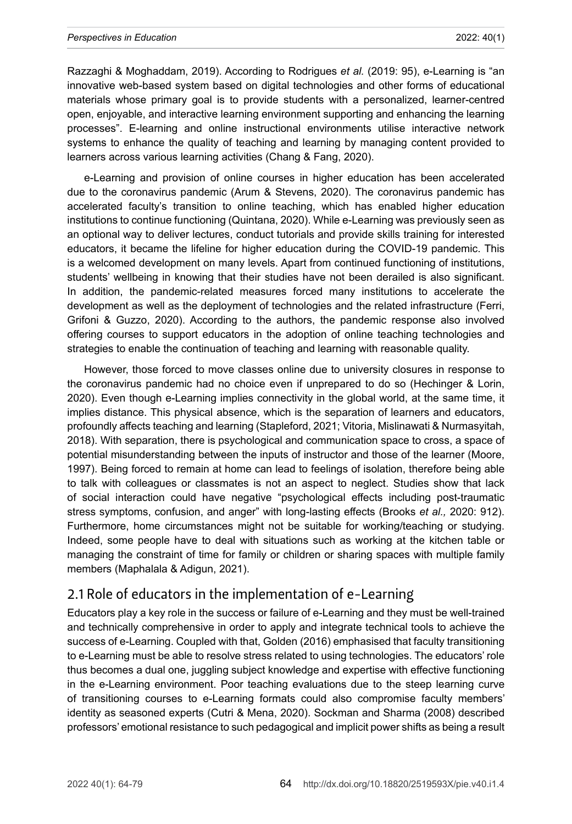#### *Perspectives in Education* 2022: 40(1)

Razzaghi & Moghaddam, 2019). According to Rodrigues *et al.* (2019: 95), e-Learning is "an innovative web-based system based on digital technologies and other forms of educational materials whose primary goal is to provide students with a personalized, learner-centred open, enjoyable, and interactive learning environment supporting and enhancing the learning processes". E-learning and online instructional environments utilise interactive network systems to enhance the quality of teaching and learning by managing content provided to learners across various learning activities (Chang & Fang, 2020).

e-Learning and provision of online courses in higher education has been accelerated due to the coronavirus pandemic (Arum & Stevens, 2020). The coronavirus pandemic has accelerated faculty's transition to online teaching, which has enabled higher education institutions to continue functioning (Quintana, 2020). While e-Learning was previously seen as an optional way to deliver lectures, conduct tutorials and provide skills training for interested educators, it became the lifeline for higher education during the COVID-19 pandemic. This is a welcomed development on many levels. Apart from continued functioning of institutions, students' wellbeing in knowing that their studies have not been derailed is also significant. In addition, the pandemic-related measures forced many institutions to accelerate the development as well as the deployment of technologies and the related infrastructure (Ferri, Grifoni & Guzzo, 2020). According to the authors, the pandemic response also involved offering courses to support educators in the adoption of online teaching technologies and strategies to enable the continuation of teaching and learning with reasonable quality.

However, those forced to move classes online due to university closures in response to the coronavirus pandemic had no choice even if unprepared to do so (Hechinger & Lorin, 2020). Even though e-Learning implies connectivity in the global world, at the same time, it implies distance. This physical absence, which is the separation of learners and educators, profoundly affects teaching and learning (Stapleford, 2021; Vitoria, Mislinawati & Nurmasyitah, 2018). With separation, there is psychological and communication space to cross, a space of potential misunderstanding between the inputs of instructor and those of the learner (Moore, 1997). Being forced to remain at home can lead to feelings of isolation, therefore being able to talk with colleagues or classmates is not an aspect to neglect. Studies show that lack of social interaction could have negative "psychological effects including post-traumatic stress symptoms, confusion, and anger" with long-lasting effects (Brooks *et al.,* 2020: 912). Furthermore, home circumstances might not be suitable for working/teaching or studying. Indeed, some people have to deal with situations such as working at the kitchen table or managing the constraint of time for family or children or sharing spaces with multiple family members (Maphalala & Adigun, 2021).

## 2.1 Role of educators in the implementation of e-Learning

Educators play a key role in the success or failure of e-Learning and they must be well-trained and technically comprehensive in order to apply and integrate technical tools to achieve the success of e-Learning. Coupled with that, Golden (2016) emphasised that faculty transitioning to e-Learning must be able to resolve stress related to using technologies. The educators' role thus becomes a dual one, juggling subject knowledge and expertise with effective functioning in the e-Learning environment. Poor teaching evaluations due to the steep learning curve of transitioning courses to e-Learning formats could also compromise faculty members' identity as seasoned experts (Cutri & Mena, 2020). Sockman and Sharma (2008) described professors' emotional resistance to such pedagogical and implicit power shifts as being a result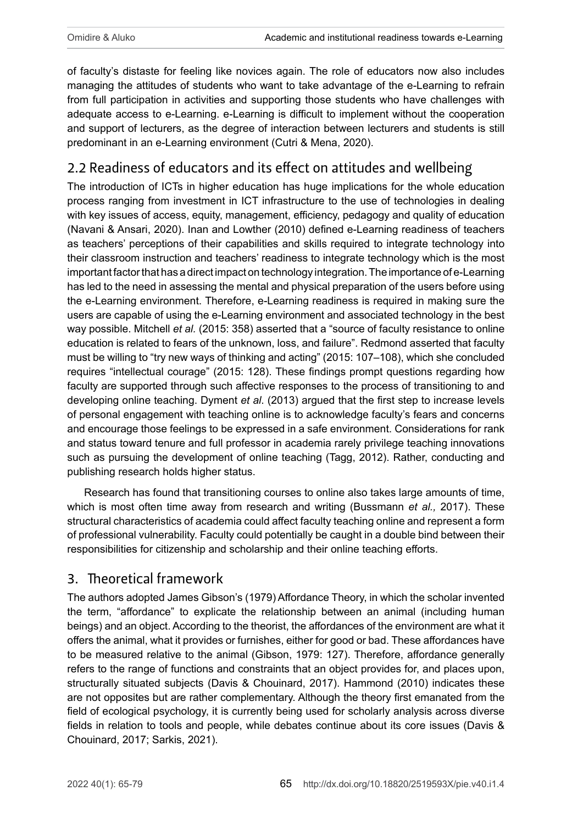of faculty's distaste for feeling like novices again. The role of educators now also includes managing the attitudes of students who want to take advantage of the e-Learning to refrain from full participation in activities and supporting those students who have challenges with adequate access to e-Learning. e-Learning is difficult to implement without the cooperation and support of lecturers, as the degree of interaction between lecturers and students is still predominant in an e-Learning environment (Cutri & Mena, 2020).

# 2.2 Readiness of educators and its effect on attitudes and wellbeing

The introduction of ICTs in higher education has huge implications for the whole education process ranging from investment in ICT infrastructure to the use of technologies in dealing with key issues of access, equity, management, efficiency, pedagogy and quality of education (Navani & Ansari, 2020). Inan and Lowther (2010) defined e-Learning readiness of teachers as teachers' perceptions of their capabilities and skills required to integrate technology into their classroom instruction and teachers' readiness to integrate technology which is the most important factor that has a direct impact on technology integration. The importance of e-Learning has led to the need in assessing the mental and physical preparation of the users before using the e-Learning environment. Therefore, e-Learning readiness is required in making sure the users are capable of using the e-Learning environment and associated technology in the best way possible. Mitchell *et al.* (2015: 358) asserted that a "source of faculty resistance to online education is related to fears of the unknown, loss, and failure". Redmond asserted that faculty must be willing to "try new ways of thinking and acting" (2015: 107–108), which she concluded requires "intellectual courage" (2015: 128). These findings prompt questions regarding how faculty are supported through such affective responses to the process of transitioning to and developing online teaching. Dyment *et al*. (2013) argued that the first step to increase levels of personal engagement with teaching online is to acknowledge faculty's fears and concerns and encourage those feelings to be expressed in a safe environment. Considerations for rank and status toward tenure and full professor in academia rarely privilege teaching innovations such as pursuing the development of online teaching (Tagg, 2012). Rather, conducting and publishing research holds higher status.

Research has found that transitioning courses to online also takes large amounts of time, which is most often time away from research and writing (Bussmann *et al.,* 2017). These structural characteristics of academia could affect faculty teaching online and represent a form of professional vulnerability. Faculty could potentially be caught in a double bind between their responsibilities for citizenship and scholarship and their online teaching efforts.

# 3. Theoretical framework

The authors adopted James Gibson's (1979) Affordance Theory, in which the scholar invented the term, "affordance" to explicate the relationship between an animal (including human beings) and an object. According to the theorist, the affordances of the environment are what it offers the animal, what it provides or furnishes, either for good or bad. These affordances have to be measured relative to the animal (Gibson, 1979: 127). Therefore, affordance generally refers to the range of functions and constraints that an object provides for, and places upon, structurally situated subjects (Davis & Chouinard, 2017). Hammond (2010) indicates these are not opposites but are rather complementary. Although the theory first emanated from the field of ecological psychology, it is currently being used for scholarly analysis across diverse fields in relation to tools and people, while debates continue about its core issues (Davis & Chouinard, 2017; Sarkis, 2021).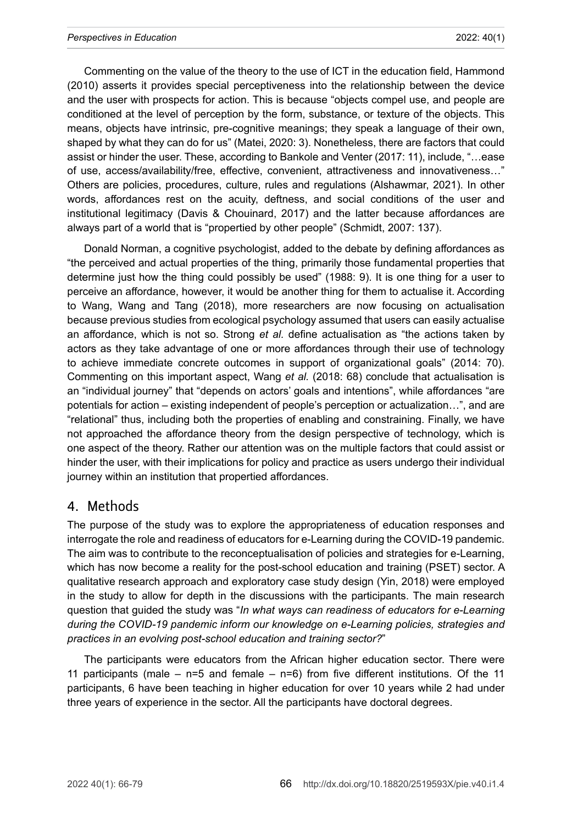Commenting on the value of the theory to the use of ICT in the education field, Hammond (2010) asserts it provides special perceptiveness into the relationship between the device and the user with prospects for action. This is because "objects compel use, and people are conditioned at the level of perception by the form, substance, or texture of the objects. This means, objects have intrinsic, pre-cognitive meanings; they speak a language of their own, shaped by what they can do for us" (Matei, 2020: 3). Nonetheless, there are factors that could assist or hinder the user. These, according to Bankole and Venter (2017: 11), include, "…ease of use, access/availability/free, effective, convenient, attractiveness and innovativeness…" Others are policies, procedures, culture, rules and regulations (Alshawmar, 2021). In other words, affordances rest on the acuity, deftness, and social conditions of the user and institutional legitimacy (Davis & Chouinard, 2017) and the latter because affordances are always part of a world that is "propertied by other people" (Schmidt, 2007: 137).

Donald Norman, a cognitive psychologist, added to the debate by defining affordances as "the perceived and actual properties of the thing, primarily those fundamental properties that determine just how the thing could possibly be used" (1988: 9). It is one thing for a user to perceive an affordance, however, it would be another thing for them to actualise it. According to Wang, Wang and Tang (2018), more researchers are now focusing on actualisation because previous studies from ecological psychology assumed that users can easily actualise an affordance, which is not so. Strong *et al.* define actualisation as "the actions taken by actors as they take advantage of one or more affordances through their use of technology to achieve immediate concrete outcomes in support of organizational goals" (2014: 70). Commenting on this important aspect, Wang *et al.* (2018: 68) conclude that actualisation is an "individual journey" that "depends on actors' goals and intentions", while affordances "are potentials for action – existing independent of people's perception or actualization…", and are "relational" thus, including both the properties of enabling and constraining. Finally, we have not approached the affordance theory from the design perspective of technology, which is one aspect of the theory. Rather our attention was on the multiple factors that could assist or hinder the user, with their implications for policy and practice as users undergo their individual journey within an institution that propertied affordances.

#### 4. Methods

The purpose of the study was to explore the appropriateness of education responses and interrogate the role and readiness of educators for e-Learning during the COVID-19 pandemic. The aim was to contribute to the reconceptualisation of policies and strategies for e-Learning, which has now become a reality for the post-school education and training (PSET) sector. A qualitative research approach and exploratory case study design (Yin, 2018) were employed in the study to allow for depth in the discussions with the participants. The main research question that guided the study was "*In what ways can readiness of educators for e-Learning during the COVID-19 pandemic inform our knowledge on e-Learning policies, strategies and practices in an evolving post-school education and training sector?*"

The participants were educators from the African higher education sector. There were 11 participants (male  $-$  n=5 and female  $-$  n=6) from five different institutions. Of the 11 participants, 6 have been teaching in higher education for over 10 years while 2 had under three years of experience in the sector. All the participants have doctoral degrees.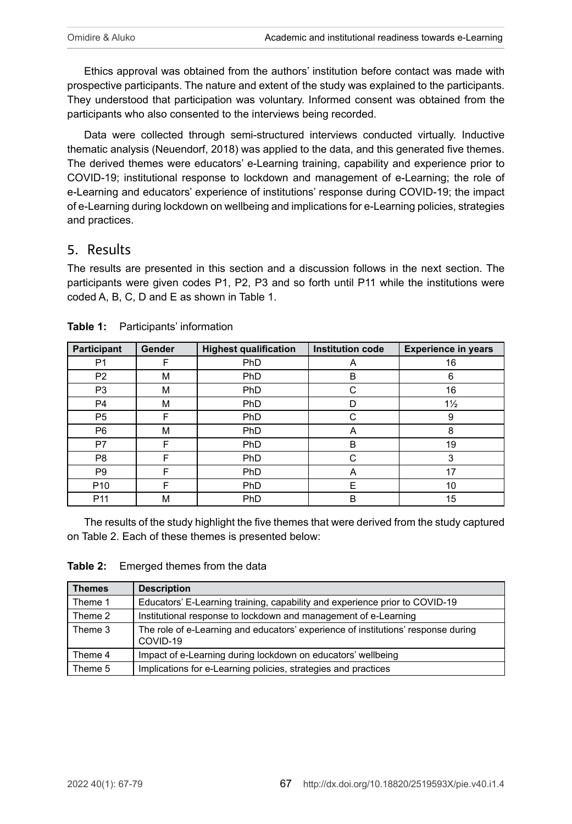Ethics approval was obtained from the authors' institution before contact was made with prospective participants. The nature and extent of the study was explained to the participants. They understood that participation was voluntary. Informed consent was obtained from the participants who also consented to the interviews being recorded.

Data were collected through semi-structured interviews conducted virtually. Inductive thematic analysis (Neuendorf, 2018) was applied to the data, and this generated five themes. The derived themes were educators' e-Learning training, capability and experience prior to COVID-19; institutional response to lockdown and management of e-Learning; the role of e-Learning and educators' experience of institutions' response during COVID-19; the impact of e-Learning during lockdown on wellbeing and implications for e-Learning policies, strategies and practices.

### 5. Results

The results are presented in this section and a discussion follows in the next section. The participants were given codes P1, P2, P3 and so forth until P11 while the institutions were coded A, B, C, D and E as shown in Table 1.

| Participant     | Gender | <b>Highest qualification</b> | <b>Institution code</b> | <b>Experience in years</b> |
|-----------------|--------|------------------------------|-------------------------|----------------------------|
| P <sub>1</sub>  | F      | PhD                          | A                       | 16                         |
| P <sub>2</sub>  | M      | PhD                          | B                       | 6                          |
| P <sub>3</sub>  | M      | PhD                          | C                       | 16                         |
| P <sub>4</sub>  | М      | <b>PhD</b>                   | D                       | $1\frac{1}{2}$             |
| P <sub>5</sub>  | F      | <b>PhD</b>                   | C                       | 9                          |
| P <sub>6</sub>  | м      | <b>PhD</b>                   | A                       | 8                          |
| P7              | F      | PhD                          | B                       | 19                         |
| P <sub>8</sub>  | F      | PhD                          | C                       | 3                          |
| P <sub>9</sub>  | F      | PhD                          | A                       | 17                         |
| P <sub>10</sub> | F      | PhD                          | Ε                       | 10                         |
| P <sub>11</sub> | М      | PhD                          | в                       | 15                         |

|  | Table 1: Participants' information |
|--|------------------------------------|
|--|------------------------------------|

The results of the study highlight the five themes that were derived from the study captured on Table 2. Each of these themes is presented below:

#### **Table 2:** Emerged themes from the data

| <b>Themes</b> | <b>Description</b>                                                                            |  |  |
|---------------|-----------------------------------------------------------------------------------------------|--|--|
| Theme 1       | Educators' E-Learning training, capability and experience prior to COVID-19                   |  |  |
| Theme 2       | Institutional response to lockdown and management of e-Learning                               |  |  |
| Theme 3       | The role of e-Learning and educators' experience of institutions' response during<br>COVID-19 |  |  |
| Theme 4       | Impact of e-Learning during lockdown on educators' wellbeing                                  |  |  |
| Theme 5       | Implications for e-Learning policies, strategies and practices                                |  |  |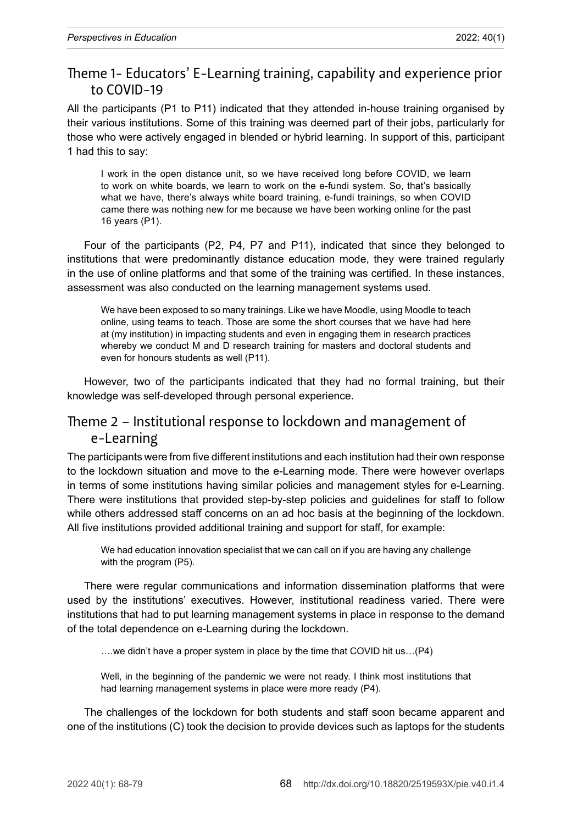## Theme 1- Educators' E-Learning training, capability and experience prior to COVID-19

All the participants (P1 to P11) indicated that they attended in-house training organised by their various institutions. Some of this training was deemed part of their jobs, particularly for those who were actively engaged in blended or hybrid learning. In support of this, participant 1 had this to say:

I work in the open distance unit, so we have received long before COVID, we learn to work on white boards, we learn to work on the e-fundi system. So, that's basically what we have, there's always white board training, e-fundi trainings, so when COVID came there was nothing new for me because we have been working online for the past 16 years (P1).

Four of the participants (P2, P4, P7 and P11), indicated that since they belonged to institutions that were predominantly distance education mode, they were trained regularly in the use of online platforms and that some of the training was certified. In these instances, assessment was also conducted on the learning management systems used.

We have been exposed to so many trainings. Like we have Moodle, using Moodle to teach online, using teams to teach. Those are some the short courses that we have had here at (my institution) in impacting students and even in engaging them in research practices whereby we conduct M and D research training for masters and doctoral students and even for honours students as well (P11).

However, two of the participants indicated that they had no formal training, but their knowledge was self-developed through personal experience.

### Theme 2 – Institutional response to lockdown and management of e-Learning

The participants were from five different institutions and each institution had their own response to the lockdown situation and move to the e-Learning mode. There were however overlaps in terms of some institutions having similar policies and management styles for e-Learning. There were institutions that provided step-by-step policies and guidelines for staff to follow while others addressed staff concerns on an ad hoc basis at the beginning of the lockdown. All five institutions provided additional training and support for staff, for example:

We had education innovation specialist that we can call on if you are having any challenge with the program (P5).

There were regular communications and information dissemination platforms that were used by the institutions' executives. However, institutional readiness varied. There were institutions that had to put learning management systems in place in response to the demand of the total dependence on e-Learning during the lockdown.

….we didn't have a proper system in place by the time that COVID hit us…(P4)

Well, in the beginning of the pandemic we were not ready. I think most institutions that had learning management systems in place were more ready (P4).

The challenges of the lockdown for both students and staff soon became apparent and one of the institutions (C) took the decision to provide devices such as laptops for the students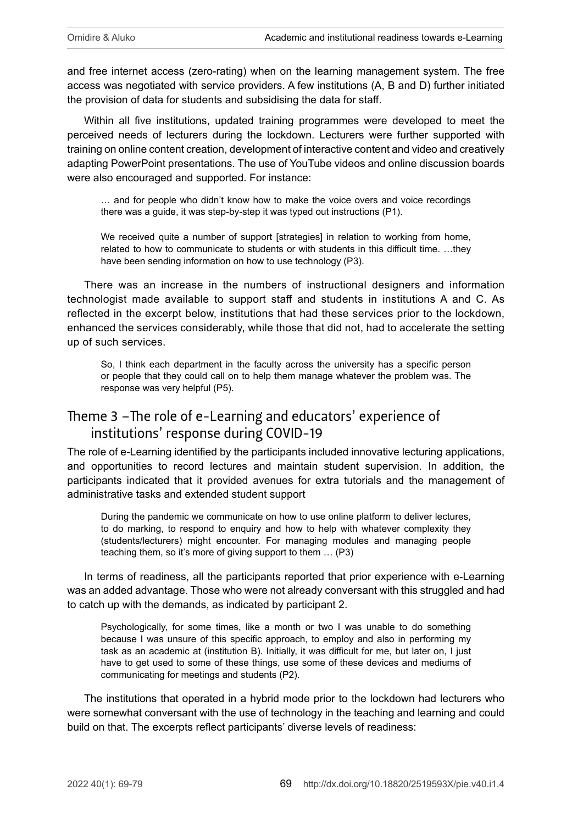and free internet access (zero-rating) when on the learning management system. The free access was negotiated with service providers. A few institutions (A, B and D) further initiated the provision of data for students and subsidising the data for staff.

Within all five institutions, updated training programmes were developed to meet the perceived needs of lecturers during the lockdown. Lecturers were further supported with training on online content creation, development of interactive content and video and creatively adapting PowerPoint presentations. The use of YouTube videos and online discussion boards were also encouraged and supported. For instance:

… and for people who didn't know how to make the voice overs and voice recordings there was a guide, it was step-by-step it was typed out instructions (P1).

We received quite a number of support [strategies] in relation to working from home, related to how to communicate to students or with students in this difficult time. …they have been sending information on how to use technology (P3).

There was an increase in the numbers of instructional designers and information technologist made available to support staff and students in institutions A and C. As reflected in the excerpt below, institutions that had these services prior to the lockdown, enhanced the services considerably, while those that did not, had to accelerate the setting up of such services.

So, I think each department in the faculty across the university has a specific person or people that they could call on to help them manage whatever the problem was. The response was very helpful (P5).

## Theme 3 –The role of e-Learning and educators' experience of institutions' response during COVID-19

The role of e-Learning identified by the participants included innovative lecturing applications, and opportunities to record lectures and maintain student supervision. In addition, the participants indicated that it provided avenues for extra tutorials and the management of administrative tasks and extended student support

During the pandemic we communicate on how to use online platform to deliver lectures, to do marking, to respond to enquiry and how to help with whatever complexity they (students/lecturers) might encounter. For managing modules and managing people teaching them, so it's more of giving support to them … (P3)

In terms of readiness, all the participants reported that prior experience with e-Learning was an added advantage. Those who were not already conversant with this struggled and had to catch up with the demands, as indicated by participant 2.

Psychologically, for some times, like a month or two I was unable to do something because I was unsure of this specific approach, to employ and also in performing my task as an academic at (institution B). Initially, it was difficult for me, but later on, I just have to get used to some of these things, use some of these devices and mediums of communicating for meetings and students (P2).

The institutions that operated in a hybrid mode prior to the lockdown had lecturers who were somewhat conversant with the use of technology in the teaching and learning and could build on that. The excerpts reflect participants' diverse levels of readiness: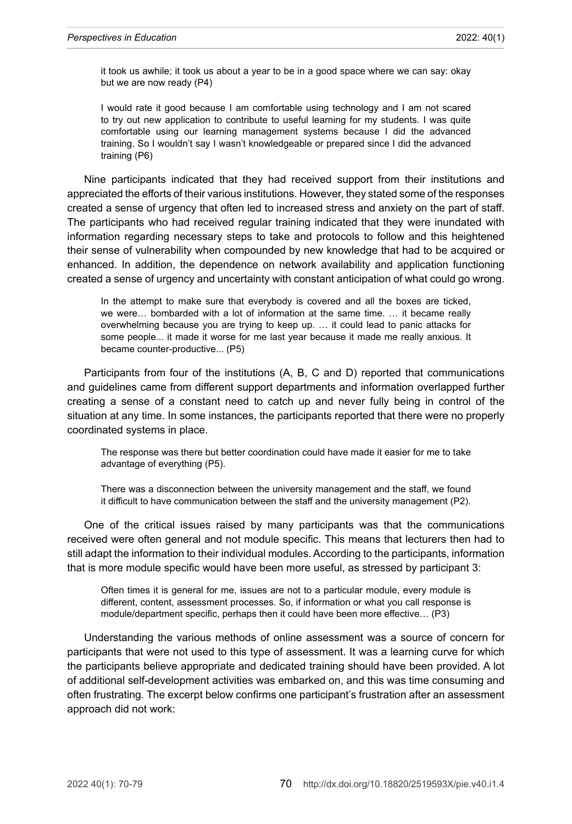it took us awhile; it took us about a year to be in a good space where we can say: okay but we are now ready (P4)

I would rate it good because I am comfortable using technology and I am not scared to try out new application to contribute to useful learning for my students. I was quite comfortable using our learning management systems because I did the advanced training. So I wouldn't say I wasn't knowledgeable or prepared since I did the advanced training (P6)

Nine participants indicated that they had received support from their institutions and appreciated the efforts of their various institutions. However, they stated some of the responses created a sense of urgency that often led to increased stress and anxiety on the part of staff. The participants who had received regular training indicated that they were inundated with information regarding necessary steps to take and protocols to follow and this heightened their sense of vulnerability when compounded by new knowledge that had to be acquired or enhanced. In addition, the dependence on network availability and application functioning created a sense of urgency and uncertainty with constant anticipation of what could go wrong.

In the attempt to make sure that everybody is covered and all the boxes are ticked, we were… bombarded with a lot of information at the same time. … it became really overwhelming because you are trying to keep up. … it could lead to panic attacks for some people... it made it worse for me last year because it made me really anxious. It became counter-productive... (P5)

Participants from four of the institutions (A, B, C and D) reported that communications and guidelines came from different support departments and information overlapped further creating a sense of a constant need to catch up and never fully being in control of the situation at any time. In some instances, the participants reported that there were no properly coordinated systems in place.

The response was there but better coordination could have made it easier for me to take advantage of everything (P5).

There was a disconnection between the university management and the staff, we found it difficult to have communication between the staff and the university management (P2).

One of the critical issues raised by many participants was that the communications received were often general and not module specific. This means that lecturers then had to still adapt the information to their individual modules. According to the participants, information that is more module specific would have been more useful, as stressed by participant 3:

Often times it is general for me, issues are not to a particular module, every module is different, content, assessment processes. So, if information or what you call response is module/department specific, perhaps then it could have been more effective… (P3)

Understanding the various methods of online assessment was a source of concern for participants that were not used to this type of assessment. It was a learning curve for which the participants believe appropriate and dedicated training should have been provided. A lot of additional self-development activities was embarked on, and this was time consuming and often frustrating. The excerpt below confirms one participant's frustration after an assessment approach did not work: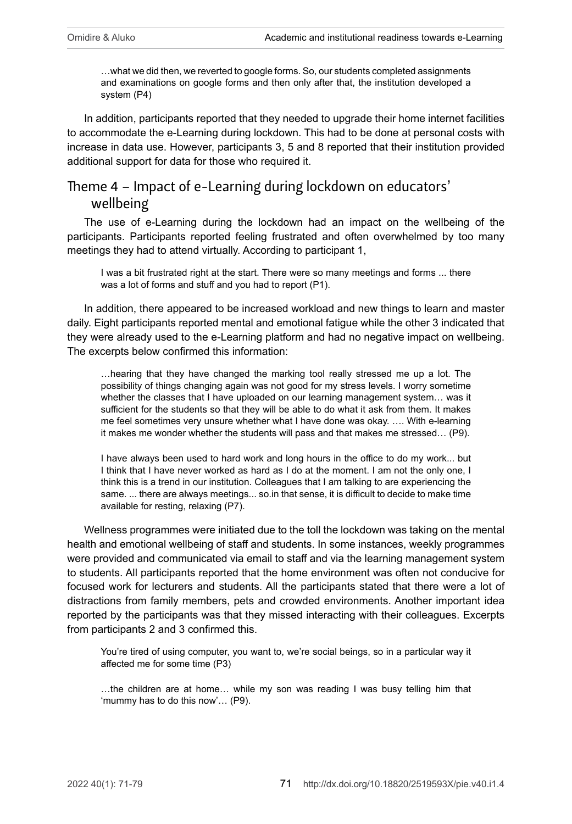…what we did then, we reverted to google forms. So, our students completed assignments and examinations on google forms and then only after that, the institution developed a system (P4)

In addition, participants reported that they needed to upgrade their home internet facilities to accommodate the e-Learning during lockdown. This had to be done at personal costs with increase in data use. However, participants 3, 5 and 8 reported that their institution provided additional support for data for those who required it.

# Theme 4 – Impact of e-Learning during lockdown on educators' wellbeing

The use of e-Learning during the lockdown had an impact on the wellbeing of the participants. Participants reported feeling frustrated and often overwhelmed by too many meetings they had to attend virtually. According to participant 1,

I was a bit frustrated right at the start. There were so many meetings and forms ... there was a lot of forms and stuff and you had to report (P1).

In addition, there appeared to be increased workload and new things to learn and master daily. Eight participants reported mental and emotional fatigue while the other 3 indicated that they were already used to the e-Learning platform and had no negative impact on wellbeing. The excerpts below confirmed this information:

…hearing that they have changed the marking tool really stressed me up a lot. The possibility of things changing again was not good for my stress levels. I worry sometime whether the classes that I have uploaded on our learning management system… was it sufficient for the students so that they will be able to do what it ask from them. It makes me feel sometimes very unsure whether what I have done was okay. …. With e-learning it makes me wonder whether the students will pass and that makes me stressed… (P9).

I have always been used to hard work and long hours in the office to do my work... but I think that I have never worked as hard as I do at the moment. I am not the only one, I think this is a trend in our institution. Colleagues that I am talking to are experiencing the same. ... there are always meetings... so.in that sense, it is difficult to decide to make time available for resting, relaxing (P7).

Wellness programmes were initiated due to the toll the lockdown was taking on the mental health and emotional wellbeing of staff and students. In some instances, weekly programmes were provided and communicated via email to staff and via the learning management system to students. All participants reported that the home environment was often not conducive for focused work for lecturers and students. All the participants stated that there were a lot of distractions from family members, pets and crowded environments. Another important idea reported by the participants was that they missed interacting with their colleagues. Excerpts from participants 2 and 3 confirmed this.

You're tired of using computer, you want to, we're social beings, so in a particular way it affected me for some time (P3)

…the children are at home… while my son was reading I was busy telling him that 'mummy has to do this now'… (P9).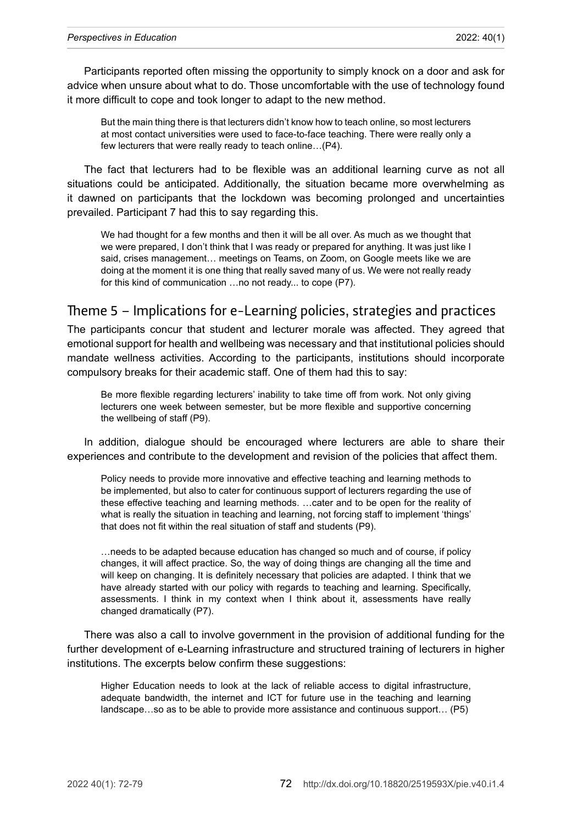Participants reported often missing the opportunity to simply knock on a door and ask for advice when unsure about what to do. Those uncomfortable with the use of technology found it more difficult to cope and took longer to adapt to the new method.

But the main thing there is that lecturers didn't know how to teach online, so most lecturers at most contact universities were used to face-to-face teaching. There were really only a few lecturers that were really ready to teach online…(P4).

The fact that lecturers had to be flexible was an additional learning curve as not all situations could be anticipated. Additionally, the situation became more overwhelming as it dawned on participants that the lockdown was becoming prolonged and uncertainties prevailed. Participant 7 had this to say regarding this.

We had thought for a few months and then it will be all over. As much as we thought that we were prepared, I don't think that I was ready or prepared for anything. It was just like I said, crises management… meetings on Teams, on Zoom, on Google meets like we are doing at the moment it is one thing that really saved many of us. We were not really ready for this kind of communication …no not ready... to cope (P7).

## Theme 5 – Implications for e-Learning policies, strategies and practices

The participants concur that student and lecturer morale was affected. They agreed that emotional support for health and wellbeing was necessary and that institutional policies should mandate wellness activities. According to the participants, institutions should incorporate compulsory breaks for their academic staff. One of them had this to say:

Be more flexible regarding lecturers' inability to take time off from work. Not only giving lecturers one week between semester, but be more flexible and supportive concerning the wellbeing of staff (P9).

In addition, dialogue should be encouraged where lecturers are able to share their experiences and contribute to the development and revision of the policies that affect them.

Policy needs to provide more innovative and effective teaching and learning methods to be implemented, but also to cater for continuous support of lecturers regarding the use of these effective teaching and learning methods. …cater and to be open for the reality of what is really the situation in teaching and learning, not forcing staff to implement 'things' that does not fit within the real situation of staff and students (P9).

…needs to be adapted because education has changed so much and of course, if policy changes, it will affect practice. So, the way of doing things are changing all the time and will keep on changing. It is definitely necessary that policies are adapted. I think that we have already started with our policy with regards to teaching and learning. Specifically, assessments. I think in my context when I think about it, assessments have really changed dramatically (P7).

There was also a call to involve government in the provision of additional funding for the further development of e-Learning infrastructure and structured training of lecturers in higher institutions. The excerpts below confirm these suggestions:

Higher Education needs to look at the lack of reliable access to digital infrastructure, adequate bandwidth, the internet and ICT for future use in the teaching and learning landscape…so as to be able to provide more assistance and continuous support… (P5)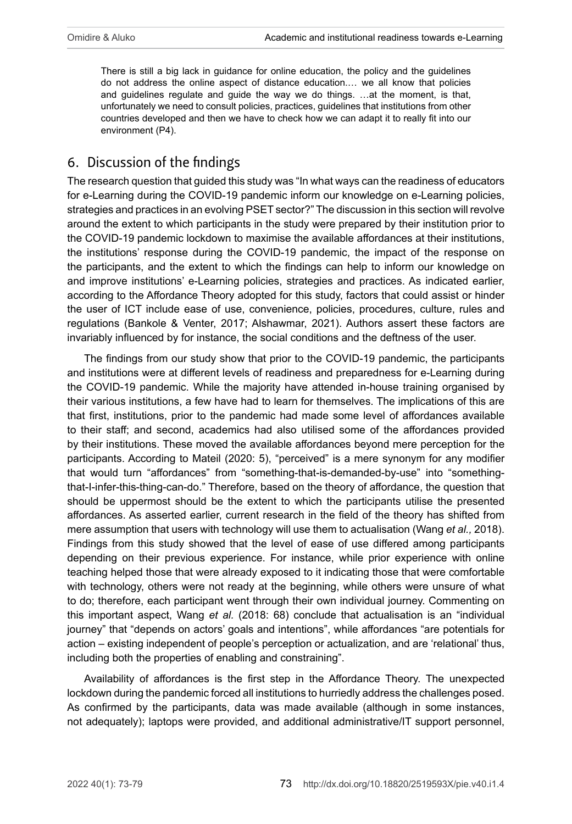There is still a big lack in guidance for online education, the policy and the guidelines do not address the online aspect of distance education.… we all know that policies and guidelines regulate and guide the way we do things. …at the moment, is that, unfortunately we need to consult policies, practices, guidelines that institutions from other countries developed and then we have to check how we can adapt it to really fit into our environment (P4).

# 6. Discussion of the findings

The research question that guided this study was "In what ways can the readiness of educators for e-Learning during the COVID-19 pandemic inform our knowledge on e-Learning policies, strategies and practices in an evolving PSET sector?" The discussion in this section will revolve around the extent to which participants in the study were prepared by their institution prior to the COVID-19 pandemic lockdown to maximise the available affordances at their institutions, the institutions' response during the COVID-19 pandemic, the impact of the response on the participants, and the extent to which the findings can help to inform our knowledge on and improve institutions' e-Learning policies, strategies and practices. As indicated earlier, according to the Affordance Theory adopted for this study, factors that could assist or hinder the user of ICT include ease of use, convenience, policies, procedures, culture, rules and regulations (Bankole & Venter, 2017; Alshawmar, 2021). Authors assert these factors are invariably influenced by for instance, the social conditions and the deftness of the user.

The findings from our study show that prior to the COVID-19 pandemic, the participants and institutions were at different levels of readiness and preparedness for e-Learning during the COVID-19 pandemic. While the majority have attended in-house training organised by their various institutions, a few have had to learn for themselves. The implications of this are that first, institutions, prior to the pandemic had made some level of affordances available to their staff; and second, academics had also utilised some of the affordances provided by their institutions. These moved the available affordances beyond mere perception for the participants. According to Mateil (2020: 5), "perceived" is a mere synonym for any modifier that would turn "affordances" from "something-that-is-demanded-by-use" into "somethingthat-I-infer-this-thing-can-do." Therefore, based on the theory of affordance, the question that should be uppermost should be the extent to which the participants utilise the presented affordances. As asserted earlier, current research in the field of the theory has shifted from mere assumption that users with technology will use them to actualisation (Wang *et al.,* 2018). Findings from this study showed that the level of ease of use differed among participants depending on their previous experience. For instance, while prior experience with online teaching helped those that were already exposed to it indicating those that were comfortable with technology, others were not ready at the beginning, while others were unsure of what to do; therefore, each participant went through their own individual journey. Commenting on this important aspect, Wang *et al.* (2018: 68) conclude that actualisation is an "individual journey" that "depends on actors' goals and intentions", while affordances "are potentials for action – existing independent of people's perception or actualization, and are 'relational' thus, including both the properties of enabling and constraining".

Availability of affordances is the first step in the Affordance Theory. The unexpected lockdown during the pandemic forced all institutions to hurriedly address the challenges posed. As confirmed by the participants, data was made available (although in some instances, not adequately); laptops were provided, and additional administrative/IT support personnel,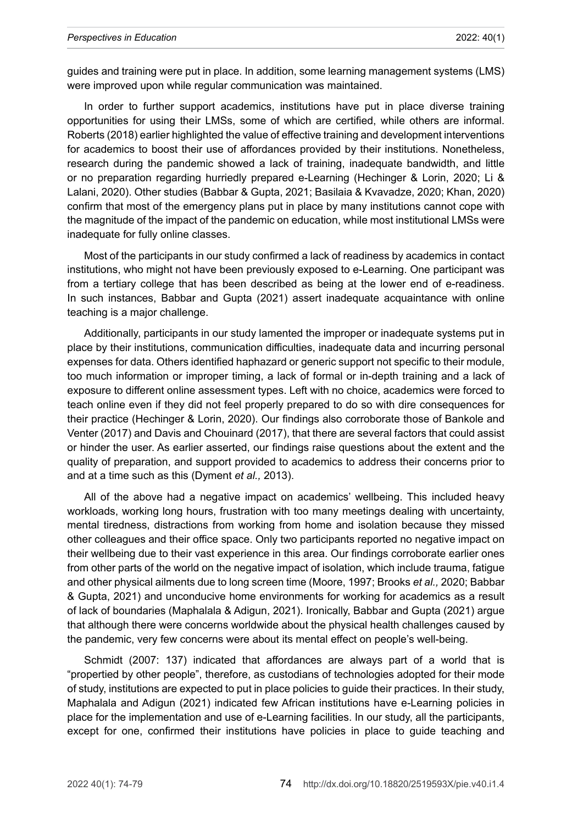guides and training were put in place. In addition, some learning management systems (LMS) were improved upon while regular communication was maintained.

In order to further support academics, institutions have put in place diverse training opportunities for using their LMSs, some of which are certified, while others are informal. Roberts (2018) earlier highlighted the value of effective training and development interventions for academics to boost their use of affordances provided by their institutions. Nonetheless, research during the pandemic showed a lack of training, inadequate bandwidth, and little or no preparation regarding hurriedly prepared e-Learning (Hechinger & Lorin, 2020; Li & Lalani, 2020). Other studies (Babbar & Gupta, 2021; [Basilaia & Kvavadze, 2020](https://journals.sagepub.com/doi/full/10.1177/14782103211021937); Khan, 2020) confirm that most of the emergency plans put in place by many institutions cannot cope with the magnitude of the impact of the pandemic on education, while most institutional LMSs were inadequate for fully online classes.

Most of the participants in our study confirmed a lack of readiness by academics in contact institutions, who might not have been previously exposed to e-Learning. One participant was from a tertiary college that has been described as being at the lower end of e-readiness. In such instances, Babbar and Gupta (2021) assert inadequate acquaintance with online teaching is a major challenge.

Additionally, participants in our study lamented the improper or inadequate systems put in place by their institutions, communication difficulties, inadequate data and incurring personal expenses for data. Others identified haphazard or generic support not specific to their module, too much information or improper timing, a lack of formal or in-depth training and a lack of exposure to different online assessment types. Left with no choice, academics were forced to teach online even if they did not feel properly prepared to do so with dire consequences for their practice (Hechinger & Lorin, 2020). Our findings also corroborate those of Bankole and Venter (2017) and Davis and Chouinard (2017), that there are several factors that could assist or hinder the user. As earlier asserted, our findings raise questions about the extent and the quality of preparation, and support provided to academics to address their concerns prior to and at a time such as this (Dyment *et al.,* 2013).

All of the above had a negative impact on academics' wellbeing. This included heavy workloads, working long hours, frustration with too many meetings dealing with uncertainty, mental tiredness, distractions from working from home and isolation because they missed other colleagues and their office space. Only two participants reported no negative impact on their wellbeing due to their vast experience in this area. Our findings corroborate earlier ones from other parts of the world on the negative impact of isolation, which include trauma, fatigue and other physical ailments due to long screen time (Moore, 1997; Brooks *et al.,* 2020; Babbar & Gupta, 2021) and unconducive home environments for working for academics as a result of lack of boundaries (Maphalala & Adigun, 2021). Ironically, Babbar and Gupta (2021) argue that although there were concerns worldwide about the physical health challenges caused by the pandemic, very few concerns were about its mental effect on people's well-being.

Schmidt (2007: 137) indicated that affordances are always part of a world that is "propertied by other people", therefore, as custodians of technologies adopted for their mode of study, institutions are expected to put in place policies to guide their practices. In their study, Maphalala and Adigun (2021) indicated few African institutions have e-Learning policies in place for the implementation and use of e-Learning facilities. In our study, all the participants, except for one, confirmed their institutions have policies in place to guide teaching and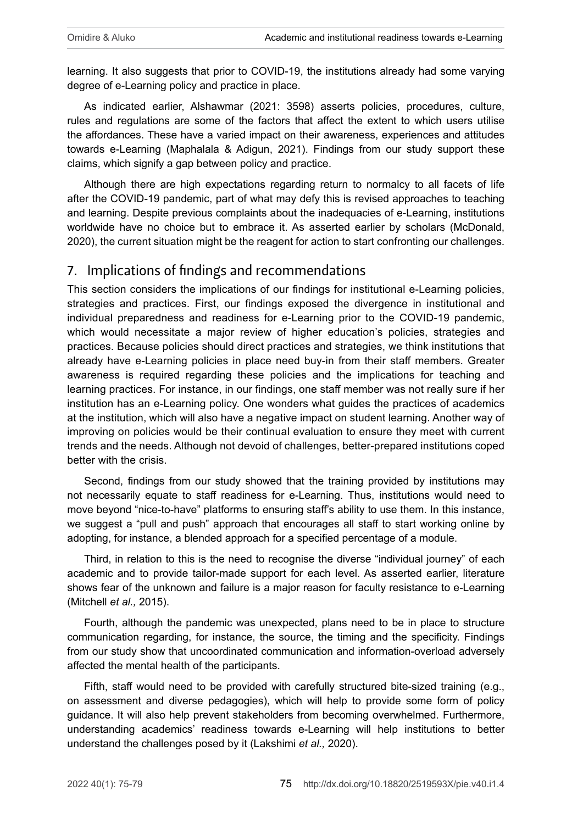learning. It also suggests that prior to COVID-19, the institutions already had some varying degree of e-Learning policy and practice in place.

As indicated earlier, Alshawmar (2021: 3598) asserts policies, procedures, culture, rules and regulations are some of the factors that affect the extent to which users utilise the affordances. These have a varied impact on their awareness, experiences and attitudes towards e-Learning (Maphalala & Adigun, 2021). Findings from our study support these claims, which signify a gap between policy and practice.

Although there are high expectations regarding return to normalcy to all facets of life after the COVID-19 pandemic, part of what may defy this is revised approaches to teaching and learning. Despite previous complaints about the inadequacies of e-Learning, institutions worldwide have no choice but to embrace it. As asserted earlier by scholars (McDonald, 2020), the current situation might be the reagent for action to start confronting our challenges.

## 7. Implications of findings and recommendations

This section considers the implications of our findings for institutional e-Learning policies, strategies and practices. First, our findings exposed the divergence in institutional and individual preparedness and readiness for e-Learning prior to the COVID-19 pandemic, which would necessitate a major review of higher education's policies, strategies and practices. Because policies should direct practices and strategies, we think institutions that already have e-Learning policies in place need buy-in from their staff members. Greater awareness is required regarding these policies and the implications for teaching and learning practices. For instance, in our findings, one staff member was not really sure if her institution has an e-Learning policy. One wonders what guides the practices of academics at the institution, which will also have a negative impact on student learning. Another way of improving on policies would be their continual evaluation to ensure they meet with current trends and the needs. Although not devoid of challenges, better-prepared institutions coped better with the crisis.

Second, findings from our study showed that the training provided by institutions may not necessarily equate to staff readiness for e-Learning. Thus, institutions would need to move beyond "nice-to-have" platforms to ensuring staff's ability to use them. In this instance, we suggest a "pull and push" approach that encourages all staff to start working online by adopting, for instance, a blended approach for a specified percentage of a module.

Third, in relation to this is the need to recognise the diverse "individual journey" of each academic and to provide tailor-made support for each level. As asserted earlier, literature shows fear of the unknown and failure is a major reason for faculty resistance to e-Learning (Mitchell *et al.,* 2015).

Fourth, although the pandemic was unexpected, plans need to be in place to structure communication regarding, for instance, the source, the timing and the specificity. Findings from our study show that uncoordinated communication and information-overload adversely affected the mental health of the participants.

Fifth, staff would need to be provided with carefully structured bite-sized training (e.g., on assessment and diverse pedagogies), which will help to provide some form of policy guidance. It will also help prevent stakeholders from becoming overwhelmed. Furthermore, understanding academics' readiness towards e-Learning will help institutions to better understand the challenges posed by it (Lakshimi *et al.,* 2020).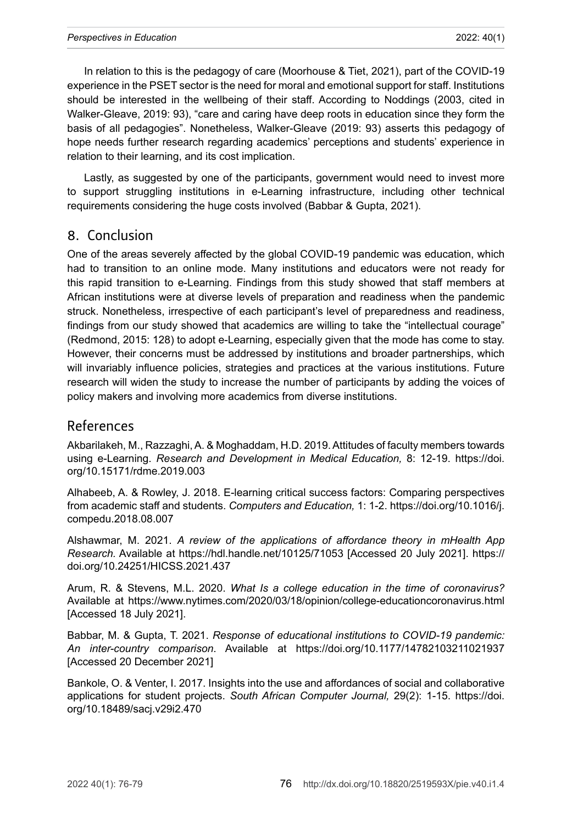In relation to this is the pedagogy of care (Moorhouse & Tiet, 2021), part of the COVID-19 experience in the PSET sector is the need for moral and emotional support for staff. Institutions should be interested in the wellbeing of their staff. According to Noddings (2003, cited in Walker-Gleave, 2019: 93), "care and caring have deep roots in education since they form the basis of all pedagogies". Nonetheless, Walker-Gleave (2019: 93) asserts this pedagogy of hope needs further research regarding academics' perceptions and students' experience in relation to their learning, and its cost implication.

Lastly, as suggested by one of the participants, government would need to invest more to support struggling institutions in e-Learning infrastructure, including other technical requirements considering the huge costs involved (Babbar & Gupta, 2021).

#### 8. Conclusion

One of the areas severely affected by the global COVID-19 pandemic was education, which had to transition to an online mode. Many institutions and educators were not ready for this rapid transition to e-Learning. Findings from this study showed that staff members at African institutions were at diverse levels of preparation and readiness when the pandemic struck. Nonetheless, irrespective of each participant's level of preparedness and readiness, findings from our study showed that academics are willing to take the "intellectual courage" (Redmond, 2015: 128) to adopt e-Learning, especially given that the mode has come to stay. However, their concerns must be addressed by institutions and broader partnerships, which will invariably influence policies, strategies and practices at the various institutions. Future research will widen the study to increase the number of participants by adding the voices of policy makers and involving more academics from diverse institutions.

#### References

Akbarilakeh, M., Razzaghi, A. & Moghaddam, H.D. 2019. Attitudes of faculty members towards using e-Learning. *Research and Development in Medical Education,* 8: 12-19. [https://doi.](https://doi.org/10.15171/rdme.2019.003) [org/10.15171/rdme.2019.003](https://doi.org/10.15171/rdme.2019.003)

Alhabeeb, A. & Rowley, J. 2018. E-learning critical success factors: Comparing perspectives from academic staff and students. *Computers and Education,* 1: 1-2. [https://doi.org/10.1016/j.](https://doi.org/10.1016/j.compedu.2018.08.007) [compedu.2018.08.007](https://doi.org/10.1016/j.compedu.2018.08.007)

Alshawmar, M. 2021. *A review of the applications of affordance theory in mHealth App Research.* Available at <https://hdl.handle.net/10125/71053> [Accessed 20 July 2021]. [https://](https://doi.org/10.24251/HICSS.2021.437) [doi.org/10.24251/HICSS.2021.437](https://doi.org/10.24251/HICSS.2021.437)

Arum, R. & Stevens, M.L. 2020. *What Is a college education in the time of coronavirus?* Available at <https://www.nytimes.com/2020/03/18/opinion/college-educationcoronavirus.html> [Accessed 18 July 2021].

Babbar, M. & Gupta, T. 2021. *Response of educational institutions to COVID-19 pandemic: An inter-country comparison*. Available at <https://doi.org/10.1177/14782103211021937> [Accessed 20 December 2021]

Bankole, O. & Venter, I. 2017. Insights into the use and affordances of social and collaborative applications for student projects. *South African Computer Journal,* 29(2): 1-15. [https://doi.](https://doi.org/10.18489/sacj.v29i2.470) [org/10.18489/sacj.v29i2.470](https://doi.org/10.18489/sacj.v29i2.470)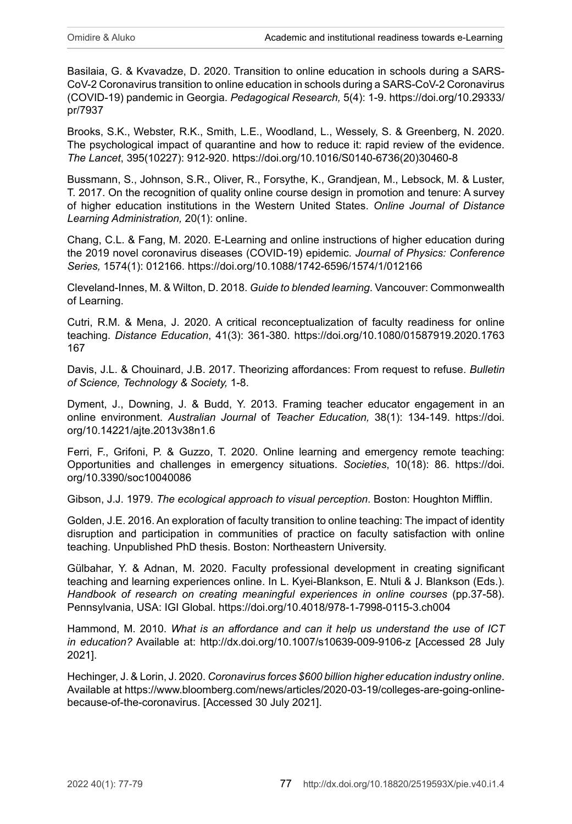Basilaia, G. & Kvavadze, D. 2020. Transition to online education in schools during a SARS-CoV-2 Coronavirus transition to online education in schools during a SARS-CoV-2 Coronavirus (COVID-19) pandemic in Georgia. *Pedagogical Research,* 5(4): 1-9. [https://doi.org/10.29333/](https://doi.org/10.29333/pr/7937) [pr/7937](https://doi.org/10.29333/pr/7937)

Brooks, S.K., Webster, R.K., Smith, L.E., Woodland, L., Wessely, S. & Greenberg, N. 2020. The psychological impact of quarantine and how to reduce it: rapid review of the evidence. *The Lancet*, 395(10227): 912-920. [https://doi.org/10.1016/S0140-6736\(20\)30460-8](https://doi.org/10.1016/S0140-6736(20)30460-8)

Bussmann, S., Johnson, S.R., Oliver, R., Forsythe, K., Grandjean, M., Lebsock, M. & Luster, T. 2017. On the recognition of quality online course design in promotion and tenure: A survey of higher education institutions in the Western United States. *Online Journal of Distance Learning Administration,* 20(1): online.

Chang, C.L. & Fang, M. 2020. E-Learning and online instructions of higher education during the 2019 novel coronavirus diseases (COVID-19) epidemic. *Journal of Physics: Conference Series,* 1574(1): 012166.<https://doi.org/10.1088/1742-6596/1574/1/012166>

Cleveland-Innes, M. & Wilton, D. 2018. *Guide to blended learning*. Vancouver: Commonwealth of Learning.

Cutri, R.M. & Mena, J. 2020. A critical reconceptualization of faculty readiness for online teaching. *Distance Education*, 41(3): 361-380. [https://doi.org/10.1080/01587919.2020.1763](https://doi.org/10.1080/01587919.2020.1763167) [167](https://doi.org/10.1080/01587919.2020.1763167)

Davis, J.L. & Chouinard, J.B. 2017. Theorizing affordances: From request to refuse. *Bulletin of Science, Technology & Society,* 1-8.

Dyment, J., Downing, J. & Budd, Y. 2013. Framing teacher educator engagement in an online environment. *Australian Journal* of *Teacher Education,* 38(1): 134-149. [https://doi.](https://doi.org/10.14221/ajte.2013v38n1.6) [org/10.14221/ajte.2013v38n1.6](https://doi.org/10.14221/ajte.2013v38n1.6)

Ferri, F., Grifoni, P. & Guzzo, T. 2020. Online learning and emergency remote teaching: Opportunities and challenges in emergency situations. *Societies*, 10(18): 86. [https://doi.](https://doi.org/10.3390/soc10040086) [org/10.3390/soc10040086](https://doi.org/10.3390/soc10040086)

Gibson, J.J. 1979. *The ecological approach to visual perception*. Boston: Houghton Mifflin.

Golden, J.E. 2016. An exploration of faculty transition to online teaching: The impact of identity disruption and participation in communities of practice on faculty satisfaction with online teaching. Unpublished PhD thesis. Boston: Northeastern University.

Gülbahar, Y. & Adnan, M. 2020. Faculty professional development in creating significant teaching and learning experiences online. In L. Kyei-Blankson, E. Ntuli & J. Blankson (Eds.). Handbook of research on creating meaningful experiences in online courses (pp.37-58). Pennsylvania, USA: IGI Global.<https://doi.org/10.4018/978-1-7998-0115-3.ch004>

Hammond, M. 2010. *What is an affordance and can it help us understand the use of ICT in education?* Available at: <http://dx.doi.org/10.1007/s10639-009-9106-z> [Accessed 28 July 2021].

Hechinger, J. & Lorin, J. 2020. *Coronavirus forces \$600 billion higher education industry online*. Available at [https://www.bloomberg.com/news/articles/2020-03-19/colleges-are-going-online](https://www.bloomberg.com/news/articles/2020-03-19/colleges-are-going-online-because-of-the-coronavirus)[because-of-the-coronavirus](https://www.bloomberg.com/news/articles/2020-03-19/colleges-are-going-online-because-of-the-coronavirus). [Accessed 30 July 2021].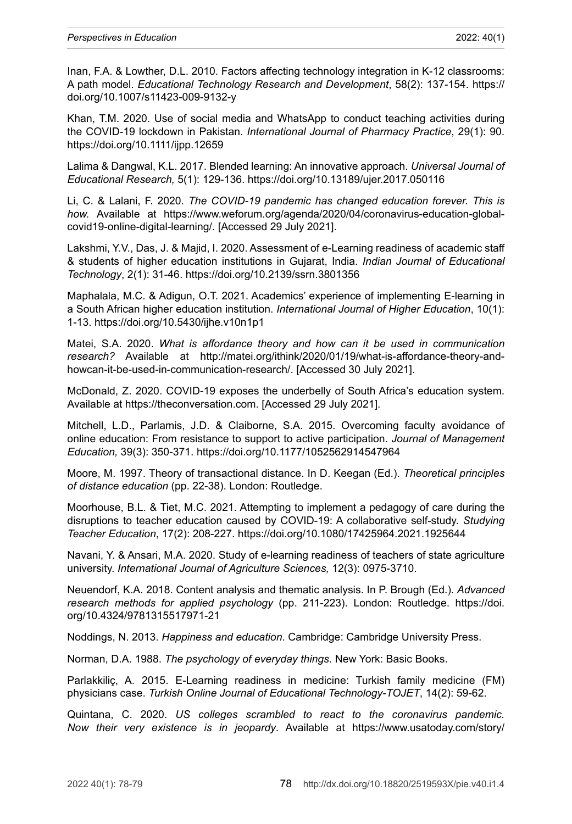Inan, F.A. & Lowther, D.L. 2010. Factors affecting technology integration in K-12 classrooms: A path model. *Educational Technology Research and Development*, 58(2): 137-154. [https://](https://doi.org/10.1007/s11423-009-9132-y) [doi.org/10.1007/s11423-009-9132-y](https://doi.org/10.1007/s11423-009-9132-y)

Khan, T.M. 2020. Use of social media and WhatsApp to conduct teaching activities during the COVID-19 lockdown in Pakistan. *International Journal of Pharmacy Practice*, 29(1): 90. <https://doi.org/10.1111/ijpp.12659>

Lalima & Dangwal, K.L. 2017. Blended learning: An innovative approach. *Universal Journal of Educational Research,* 5(1): 129-136. <https://doi.org/10.13189/ujer.2017.050116>

Li, C. & Lalani, F. 2020. *The COVID-19 pandemic has changed education forever. This is how.* Available at [https://www.weforum.org/agenda/2020/04/coronavirus-education-global](https://www.weforum.org/agenda/2020/04/coronavirus-education-global-covid19-online-digital-learning/)[covid19-online-digital-learning/.](https://www.weforum.org/agenda/2020/04/coronavirus-education-global-covid19-online-digital-learning/) [Accessed 29 July 2021].

Lakshmi, Y.V., Das, J. & Majid, I. 2020. Assessment of e-Learning readiness of academic staff & students of higher education institutions in Gujarat, India. *Indian Journal of Educational Technology*, 2(1): 31-46.<https://doi.org/10.2139/ssrn.3801356>

Maphalala, M.C. & Adigun, O.T. 2021. Academics' experience of implementing E-learning in a South African higher education institution. *International Journal of Higher Education*, 10(1): 1-13. <https://doi.org/10.5430/ijhe.v10n1p1>

Matei, S.A. 2020. *What is affordance theory and how can it be used in communication research?* Available at [http://matei.org/ithink/2020/01/19/what-is-affordance-theory-and](http://matei.org/ithink/2020/01/19/what-is-affordance-theory-and-howcan-it-be-used-in-communication-research/)[howcan-it-be-used-in-communication-research/.](http://matei.org/ithink/2020/01/19/what-is-affordance-theory-and-howcan-it-be-used-in-communication-research/) [Accessed 30 July 2021].

McDonald, Z. 2020. COVID-19 exposes the underbelly of South Africa's education system. Available at [https://theconversation.com.](https://theconversation.com) [Accessed 29 July 2021].

Mitchell, L.D., Parlamis, J.D. & Claiborne, S.A. 2015. Overcoming faculty avoidance of online education: From resistance to support to active participation. *Journal of Management Education,* 39(3): 350-371. <https://doi.org/10.1177/1052562914547964>

Moore, M. 1997. Theory of transactional distance. In D. Keegan (Ed.). *Theoretical principles of distance education* (pp. 22-38). London: Routledge.

Moorhouse, B.L. & Tiet, M.C. 2021. Attempting to implement a pedagogy of care during the disruptions to teacher education caused by COVID-19: A collaborative self-study. *Studying Teacher Education*, 17(2): 208-227.<https://doi.org/10.1080/17425964.2021.1925644>

Navani, Y. & Ansari, M.A. 2020. Study of e-learning readiness of teachers of state agriculture university. *International Journal of Agriculture Sciences,* 12(3): 0975-3710.

Neuendorf, K.A. 2018. Content analysis and thematic analysis. In P. Brough (Ed.). *Advanced research methods for applied psychology* (pp. 211-223). London: Routledge. [https://doi.](https://doi.org/10.4324/9781315517971-21) [org/10.4324/9781315517971-21](https://doi.org/10.4324/9781315517971-21)

Noddings, N. 2013. *Happiness and education*. Cambridge: Cambridge University Press.

Norman, D.A. 1988. *The psychology of everyday things*. New York: Basic Books.

Parlakkiliç, A. 2015. E-Learning readiness in medicine: Turkish family medicine (FM) physicians case. *Turkish Online Journal of Educational Technology-TOJET*, 14(2): 59-62.

Quintana, C. 2020. *US colleges scrambled to react to the coronavirus pandemic. Now their very existence is in jeopardy*. Available at [https://www.usatoday.com/story/](https://www.usatoday.com/story/news/education/2020/03/20/coronavirus-college-students-online-class-graduation-commencement-refund/2876589001/)